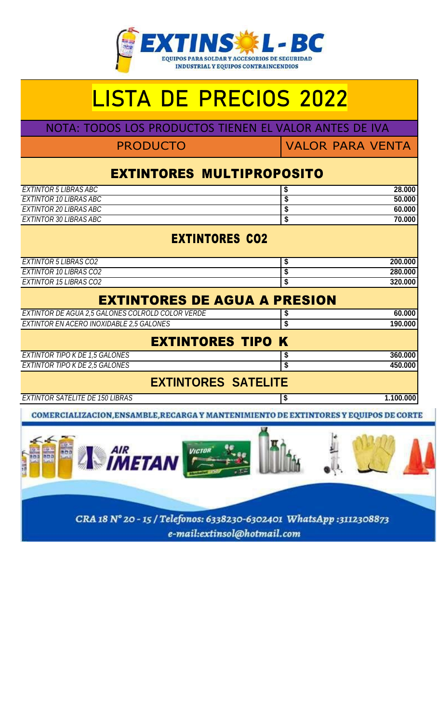

## LISTA DE PRECIOS 2022

NOTA: TODOS LOS PRODUCTOS TIENEN EL VALOR ANTES DE IVA

PRODUCTO VALOR PARA VENTA

## EXTINTORES MULTIPROPOSITO

| EXTINTOR 5 LIBRAS ABC                            | \$<br>28.000    |
|--------------------------------------------------|-----------------|
| <b>EXTINTOR 10 LIBRAS ABC</b>                    | \$<br>50.000    |
| EXTINTOR 20 LIBRAS ABC                           | \$<br>60.000    |
| EXTINTOR 30 LIBRAS ABC                           | \$<br>70.000    |
| <b>EXTINTORES CO2</b>                            |                 |
| <b>EXTINTOR 5 LIBRAS CO2</b>                     | \$<br>200.000   |
| EXTINTOR 10 LIBRAS CO2                           | 280.000         |
| <b>EXTINTOR 15 LIBRAS CO2</b>                    | \$<br>320.000   |
| <b>EXTINTORES DE AGUA A PRESION</b>              |                 |
| EXTINTOR DE AGUA 2,5 GALONES COLROLD COLOR VERDE | \$<br>60.000    |
| EXTINTOR EN ACERO INOXIDABLE 2,5 GALONES         | \$<br>190.000   |
| <b>EXTINTORES TIPO K</b>                         |                 |
| <b>EXTINTOR TIPO K DE 1,5 GALONES</b>            | \$<br>360.000   |
| EXTINTOR TIPO K DE 2,5 GALONES                   | \$<br>450.000   |
| <b>EXTINTORES SATELITE</b>                       |                 |
| <b>EXTINTOR SATELITE DE 150 LIBRAS</b>           | \$<br>1.100.000 |

COMERCIALIZACION, ENSAMBLE, RECARGA Y MANTENIMIENTO DE EXTINTORES Y EQUIPOS DE CORTE

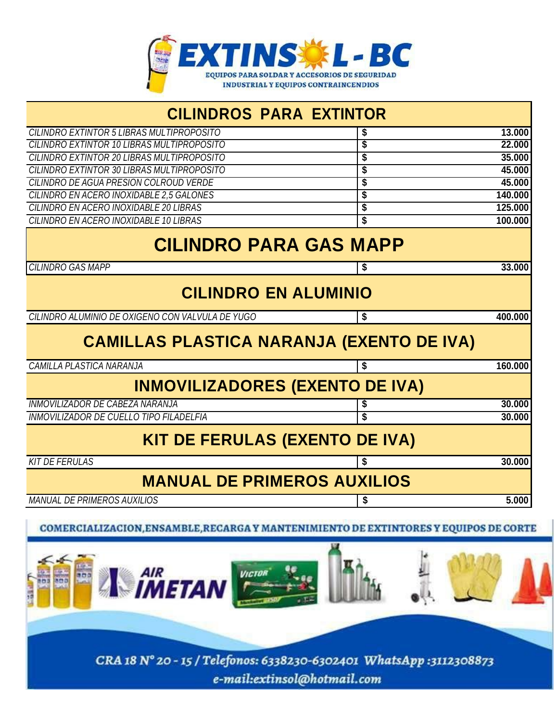

| <b>CILINDROS PARA EXTINTOR</b>                                                  |    |         |
|---------------------------------------------------------------------------------|----|---------|
| CILINDRO EXTINTOR 5 LIBRAS MULTIPROPOSITO                                       | 5  | 13,000  |
| CILINDRO EXTINTOR 10 LIBRAS MULTIPROPOSITO                                      | \$ | 22,000  |
| CILINDRO EXTINTOR 20 LIBRAS MULTIPROPOSITO                                      | \$ | 35.000  |
| CILINDRO EXTINTOR 30 LIBRAS MULTIPROPOSITO                                      | \$ | 45.000  |
| CILINDRO DE AGUA PRESION COLROUD VERDE                                          | \$ | 45.000  |
| CILINDRO EN ACERO INOXIDABLE 2,5 GALONES                                        | \$ | 140.000 |
| CILINDRO EN ACERO INOXIDABLE 20 LIBRAS                                          | \$ | 125,000 |
| CILINDRO EN ACERO INOXIDABLE 10 LIBRAS                                          | \$ | 100.000 |
| <b>CILINDRO PARA GAS MAPP</b>                                                   |    |         |
| <b>CILINDRO GAS MAPP</b>                                                        | \$ | 33.000  |
| <b>CILINDRO EN ALUMINIO</b><br>CILINDRO ALUMINIO DE OXIGENO CON VALVULA DE YUGO | \$ | 400.000 |
|                                                                                 |    |         |
| <b>CAMILLAS PLASTICA NARANJA (EXENTO DE IVA)</b>                                |    |         |
| <b>CAMILLA PLASTICA NARANJA</b>                                                 | \$ | 160.000 |
| <b>INMOVILIZADORES (EXENTO DE IVA)</b>                                          |    |         |
| <b>INMOVILIZADOR DE CABEZA NARANJA</b>                                          | \$ | 30,000  |
| <b>INMOVILIZADOR DE CUELLO TIPO FILADELFIA</b>                                  | \$ | 30.000  |
| <b>KIT DE FERULAS (EXENTO DE IVA)</b>                                           |    |         |
| <b>KIT DE FERULAS</b>                                                           | \$ | 30.000  |
| <b>MANUAL DE PRIMEROS AUXILIOS</b>                                              |    |         |
| <b>MANUAL DE PRIMEROS AUXILIOS</b>                                              | \$ | 5.000   |
|                                                                                 |    |         |

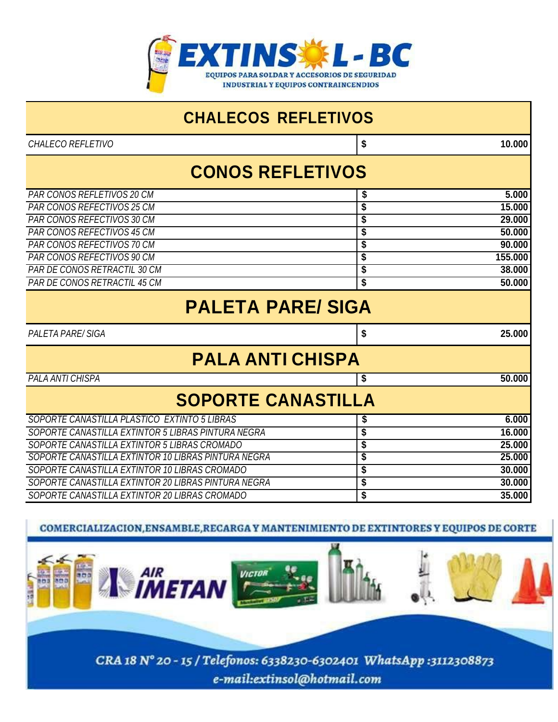

| <b>CHALECOS REFLETIVOS</b>                                        |                         |  |  |
|-------------------------------------------------------------------|-------------------------|--|--|
| CHALECO REFLETIVO                                                 | \$<br>10.000            |  |  |
|                                                                   | <b>CONOS REFLETIVOS</b> |  |  |
| <b>PAR CONOS REFLETIVOS 20 CM</b>                                 | 5.000<br>\$             |  |  |
| PAR CONOS REFECTIVOS 25 CM                                        | \$<br>15.000            |  |  |
| PAR CONOS REFECTIVOS 30 CM                                        | \$<br>29.000            |  |  |
| <b>PAR CONOS REFECTIVOS 45 CM</b>                                 | \$<br>50.000            |  |  |
| <b>PAR CONOS REFECTIVOS 70 CM</b>                                 | \$<br>90.000            |  |  |
| PAR CONOS REFECTIVOS 90 CM<br><b>PAR DE CONOS RETRACTIL 30 CM</b> | 155.000<br>\$<br>38.000 |  |  |
| PAR DE CONOS RETRACTIL 45 CM                                      | \$                      |  |  |
|                                                                   | \$<br>50.000            |  |  |
| <b>PALETA PARE/SIGA</b>                                           |                         |  |  |
| <b>PALETA PARE/SIGA</b>                                           | \$<br>25,000            |  |  |
| <b>PALA ANTI CHISPA</b>                                           |                         |  |  |
| <b>PALA ANTI CHISPA</b>                                           | 50,000<br>\$            |  |  |
| <b>SOPORTE CANASTILLA</b>                                         |                         |  |  |
| SOPORTE CANASTILLA PLASTICO EXTINTO 5 LIBRAS                      | 6.000<br>\$             |  |  |
| SOPORTE CANASTILLA EXTINTOR 5 LIBRAS PINTURA NEGRA                | \$<br>16.000            |  |  |
| SOPORTE CANASTILLA EXTINTOR 5 LIBRAS CROMADO                      | \$<br>25.000            |  |  |
| SOPORTE CANASTILLA EXTINTOR 10 LIBRAS PINTURA NEGRA               | \$<br>25.000            |  |  |
| SOPORTE CANASTILLA EXTINTOR 10 LIBRAS CROMADO                     | \$<br>30.000            |  |  |
| SOPORTE CANASTILLA EXTINTOR 20 LIBRAS PINTURA NEGRA               | \$<br>30,000            |  |  |
| SOPORTE CANASTILLA EXTINTOR 20 LIBRAS CROMADO                     | \$<br>35.000            |  |  |

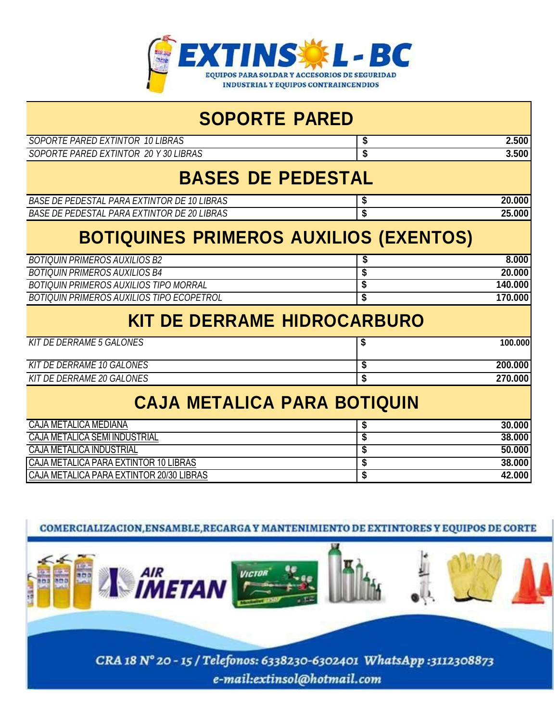

| <b>SOPORTE PARED</b>                               |                                      |  |
|----------------------------------------------------|--------------------------------------|--|
| SOPORTE PARED EXTINTOR 10 LIBRAS                   | 2.500<br>\$                          |  |
| SOPORTE PARED EXTINTOR 20 Y 30 LIBRAS              | $\overline{\boldsymbol{s}}$<br>3.500 |  |
| <b>BASES DE PEDESTAL</b>                           |                                      |  |
| <b>BASE DE PEDESTAL PARA EXTINTOR DE 10 LIBRAS</b> | 20.000<br>\$                         |  |
| BASE DE PEDESTAL PARA EXTINTOR DE 20 LIBRAS        | \$<br>25,000                         |  |
| <b>BOTIQUINES PRIMEROS AUXILIOS (EXENTOS)</b>      |                                      |  |
| <b>BOTIQUIN PRIMEROS AUXILIOS B2</b>               | 8.000<br>\$                          |  |
| <b>BOTIQUIN PRIMEROS AUXILIOS B4</b>               | 20,000<br>\$                         |  |
| <b>BOTIQUIN PRIMEROS AUXILIOS TIPO MORRAL</b>      | \$<br>140.000                        |  |
| <b>BOTIQUIN PRIMEROS AUXILIOS TIPO ECOPETROL</b>   | \$<br>170.000                        |  |
| <b>KIT DE DERRAME HIDROCARBURO</b>                 |                                      |  |
| <b>KIT DE DERRAME 5 GALONES</b>                    | \$<br>100.000                        |  |
| <b>KIT DE DERRAME 10 GALONES</b>                   | 200.000<br>\$                        |  |
| <b>KIT DE DERRAME 20 GALONES</b>                   | \$<br>270.000                        |  |
| <b>CAJA METALICA PARA BOTIQUIN</b>                 |                                      |  |
| <b>CAJA METALICA MEDIANA</b>                       | 30,000<br>\$                         |  |
| <b>CAJA METALICA SEMI INDUSTRIAL</b>               | \$<br>38.000                         |  |
| <b>CAJA METALICA INDUSTRIAL</b>                    | 50.000<br>\$                         |  |
| CAJA METALICA PARA EXTINTOR 10 LIBRAS              | 38.000<br>\$                         |  |
| CAJA METALICA PARA EXTINTOR 20/30 LIBRAS           | \$<br>42.000                         |  |

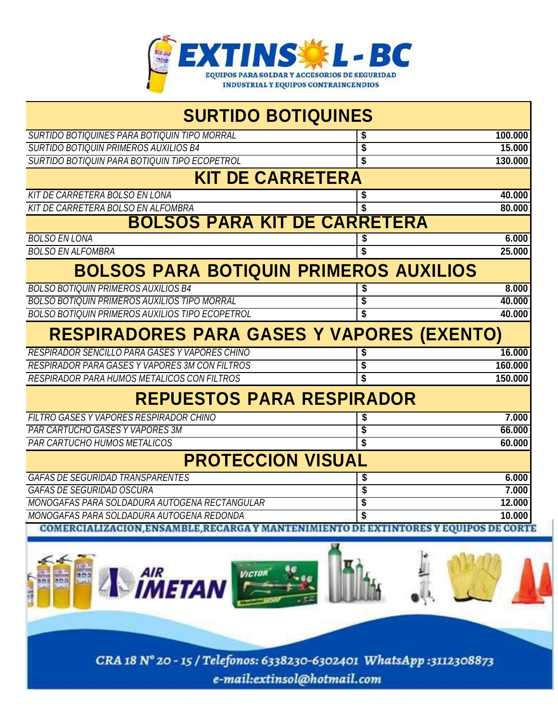

| <b>SURTIDO BOTIQUINES</b>                                                            |    |         |  |
|--------------------------------------------------------------------------------------|----|---------|--|
| SURTIDO BOTIQUINES PARA BOTIQUIN TIPO MORRAL                                         | \$ | 100.000 |  |
| <b>SURTIDO BOTIQUIN PRIMEROS AUXILIOS B4</b>                                         | \$ | 15,000  |  |
| SURTIDO BOTIQUIN PARA BOTIQUIN TIPO ECOPETROL                                        | \$ | 130.000 |  |
| <b>KIT DE CARRETERA</b>                                                              |    |         |  |
| <b>KIT DE CARRETERA BOLSO EN LONA</b>                                                | \$ | 40.000  |  |
| KIT DE CARRETERA BOLSO EN ALFOMBRA                                                   |    | 80.000  |  |
| <b>BOLSOS PARA KIT DE CARRETERA</b>                                                  |    |         |  |
| <b>BOLSO EN LONA</b>                                                                 |    | 6.000   |  |
| <b>BOLSO EN ALFOMBRA</b>                                                             |    | 25,000  |  |
| <b>BOLSOS PARA BOTIQUIN PRIMEROS AUXILIOS</b>                                        |    |         |  |
| <b>BOLSO BOTIQUIN PRIMEROS AUXILIOS B4</b>                                           |    | 8.000   |  |
| <b>BOLSO BOTIQUIN PRIMEROS AUXILIOS TIPO MORRAL</b>                                  | \$ | 40.000  |  |
| BOLSO BOTIQUIN PRIMEROS AUXILIOS TIPO ECOPETROL                                      | \$ | 40.000  |  |
| <b>RESPIRADORES PARA GASES Y VAPORES (EXENTO)</b>                                    |    |         |  |
| RESPIRADOR SENCILLO PARA GASES Y VAPORES CHINO                                       |    | 16.000  |  |
| <b>RESPIRADOR PARA GASES Y VAPORES 3M CON FILTROS</b>                                | \$ | 160.000 |  |
| RESPIRADOR PARA HUMOS METALICOS CON FILTROS                                          |    | 150.000 |  |
| <b>REPUESTOS PARA RESPIRADOR</b>                                                     |    |         |  |
| FILTRO GASES Y VAPORES RESPIRADOR CHINO                                              |    | 7.000   |  |
| <b>PAR CARTUCHO GASES Y VAPORES 3M</b>                                               | \$ | 66,000  |  |
| <b>PAR CARTUCHO HUMOS METALICOS</b>                                                  |    | 60.000  |  |
| <b>PROTECCION VISUAL</b>                                                             |    |         |  |
| <b>GAFAS DE SEGURIDAD TRANSPARENTES</b>                                              |    | 6.000   |  |
| <b>GAFAS DE SEGURIDAD OSCURA</b>                                                     | \$ | 7.000   |  |
| MONOGAFAS PARA SOLDADURA AUTOGENA RECTANGULAR                                        | \$ | 12.000  |  |
| MONOGAFAS PARA SOLDADURA AUTOGENA REDONDA                                            |    | 10.000  |  |
| COMERCIALIZACION, ENSAMBLE, RECARGA Y MANTENIMIENTO DE EXTINTORES Y EQUIPOS DE CORTE |    |         |  |

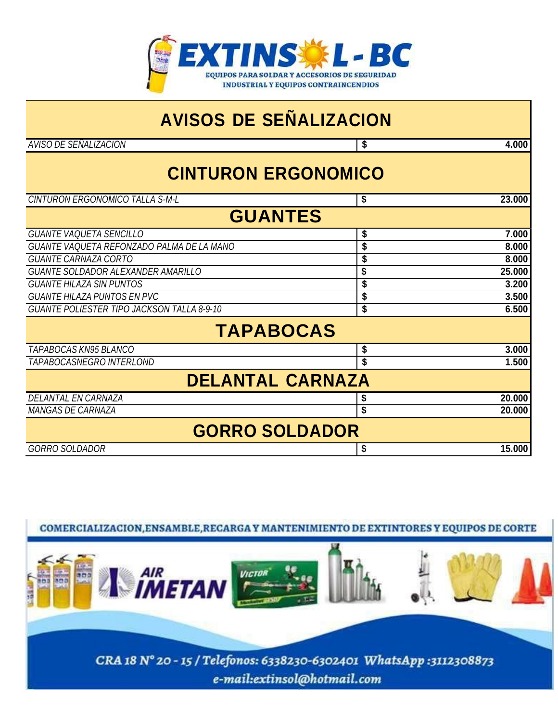

## **AVISOS DE SEÑALIZACION**

*AVISO DE SEÑALIZACION* **\$ 4.000**

## **CINTURON ERGONOMICO**

| 23.000<br>\$            |  |  |  |
|-------------------------|--|--|--|
| <b>GUANTES</b>          |  |  |  |
| 7.000<br>\$             |  |  |  |
| \$<br>8.000             |  |  |  |
| 8.000<br>\$             |  |  |  |
| 25.000<br>\$            |  |  |  |
| 3.200<br>\$             |  |  |  |
| 3.500<br>\$             |  |  |  |
| \$<br>6.500             |  |  |  |
| <b>TAPABOCAS</b>        |  |  |  |
| 3.000<br>\$             |  |  |  |
| \$<br>1.500             |  |  |  |
| <b>DELANTAL CARNAZA</b> |  |  |  |
| 20.000<br>\$            |  |  |  |
| \$<br>20.000            |  |  |  |
| <b>GORRO SOLDADOR</b>   |  |  |  |
| 15.000<br>\$            |  |  |  |
|                         |  |  |  |

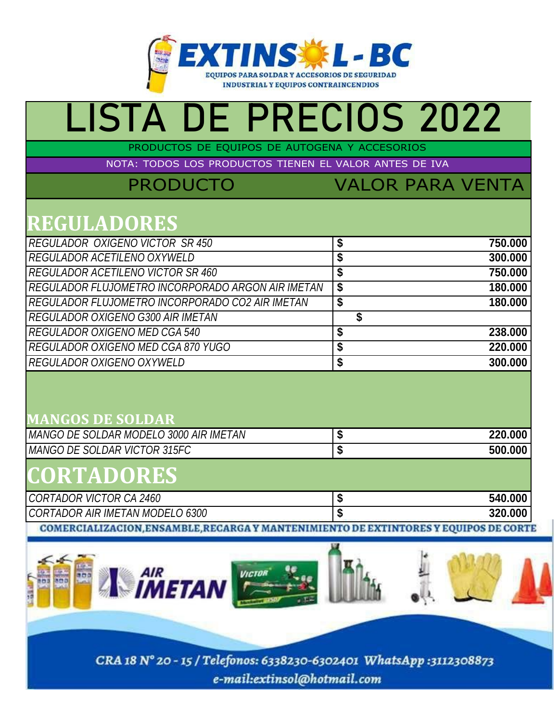

# LISTA DE PRECIOS 2022

PRODUCTOS DE EQUIPOS DE AUTOGENA Y ACCESORIOS

NOTA: TODOS LOS PRODUCTOS TIENEN EL VALOR ANTES DE IVA

PRODUCTO VALOR PARA VENTA

## **REGULADORES**

| <b>REGULADOR OXIGENO VICTOR SR 450</b>            | \$<br>750,000 |
|---------------------------------------------------|---------------|
| REGULADOR ACETILENO OXYWELD                       | \$<br>300.000 |
| <b>REGULADOR ACETILENO VICTOR SR 460</b>          | \$<br>750,000 |
| REGULADOR FLUJOMETRO INCORPORADO ARGON AIR IMETAN | \$<br>180.000 |
| REGULADOR FLUJOMETRO INCORPORADO CO2 AIR IMETAN   | \$<br>180.000 |
| REGULADOR OXIGENO G300 AIR IMETAN                 |               |
| <b>REGULADOR OXIGENO MED CGA 540</b>              | \$<br>238.000 |
| REGULADOR OXIGENO MED CGA 870 YUGO                | \$<br>220.000 |
| REGULADOR OXIGENO OXYWELD                         | \$<br>300.000 |
|                                                   |               |

### **MANGOS DE SOLDAR**

| I MANGO DE SOLDAR MODELO 3000 AIR IMETAN I | 220.000 |
|--------------------------------------------|---------|
| MANGO DE SOLDAR VICTOR 315FC               | 500.000 |
| CORTADORES                                 |         |
| CORTADOR VICTOR CA 2460                    | 540.000 |
| CORTADOR AIR IMETAN MODELO 6300            | 320.000 |

COMERCIALIZACION, ENSAMBLE, RECARGA Y MANTENIMIENTO DE EXTINTORES Y EQUIPOS DE CORTE

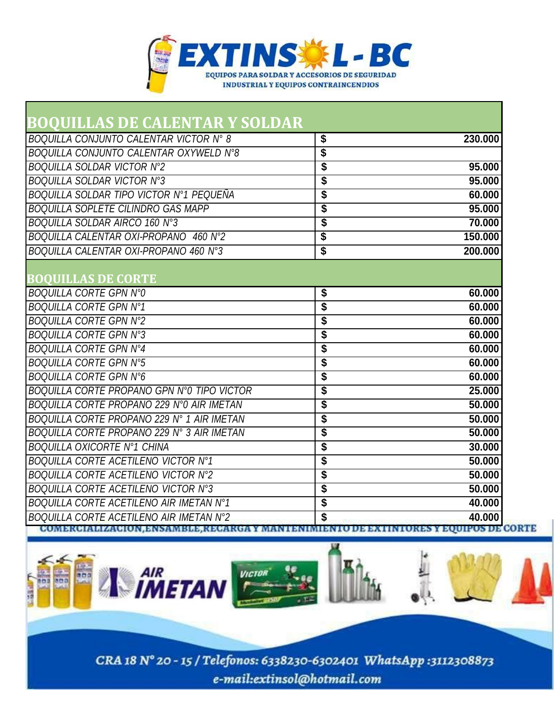

| BOOUILLAS DE CALENTAR Y SOLDAR             |                                         |
|--------------------------------------------|-----------------------------------------|
| BOQUILLA CONJUNTO CALENTAR VICTOR N° 8     | \$<br>230.000                           |
| BOQUILLA CONJUNTO CALENTAR OXYWELD N°8     | \$                                      |
| <b>BOQUILLA SOLDAR VICTOR Nº2</b>          | \$<br>95.000                            |
| <b>BOQUILLA SOLDAR VICTOR N°3</b>          | \$<br>95,000                            |
| BOQUILLA SOLDAR TIPO VICTOR Nº1 PEQUEÑA    | \$<br>60.000                            |
| <b>BOQUILLA SOPLETE CILINDRO GAS MAPP</b>  | \$<br>95,000                            |
| BOQUILLA SOLDAR AIRCO 160 N°3              | \$<br>70.000                            |
| BOQUILLA CALENTAR OXI-PROPANO 460 N°2      | \$<br>150.000                           |
| BOQUILLA CALENTAR OXI-PROPANO 460 N°3      | \$<br>200.000                           |
|                                            |                                         |
| <b>BOOUILLAS DE CORTE</b>                  |                                         |
| <b>BOQUILLA CORTE GPN N°0</b>              | \$<br>60,000                            |
| <b>BOQUILLA CORTE GPN N°1</b>              | \$<br>60,000                            |
| <b>BOQUILLA CORTE GPN N°2</b>              | \$<br>60.000                            |
| <b>BOQUILLA CORTE GPN N°3</b>              | \$<br>60.000                            |
| <b>BOQUILLA CORTE GPN N°4</b>              | \$<br>60,000                            |
| <b>BOQUILLA CORTE GPN N°5</b>              | \$<br>60.000                            |
| <b>BOQUILLA CORTE GPN N°6</b>              | \$<br>60.000                            |
| BOQUILLA CORTE PROPANO GPN Nº0 TIPO VICTOR | \$<br>25,000                            |
| BOQUILLA CORTE PROPANO 229 Nº0 AIR IMETAN  | \$<br>50.000                            |
| BOQUILLA CORTE PROPANO 229 N° 1 AIR IMETAN | \$<br>50,000                            |
| BOQUILLA CORTE PROPANO 229 N° 3 AIR IMETAN | \$<br>50.000                            |
| <b>BOQUILLA OXICORTE Nº1 CHINA</b>         | \$<br>30,000                            |
| <b>BOQUILLA CORTE ACETILENO VICTOR Nº1</b> | \$<br>50.000                            |
| <b>BOQUILLA CORTE ACETILENO VICTOR Nº2</b> | \$<br>50,000                            |
| <b>BOQUILLA CORTE ACETILENO VICTOR N°3</b> | \$<br>50.000                            |
| BOQUILLA CORTE ACETILENO AIR IMETAN N°1    | \$<br>40.000                            |
| BOQUILLA CORTE ACETILENO AIR IMETAN N°2    | \$<br>40.000<br><b>EQUIPOS DE CORTE</b> |

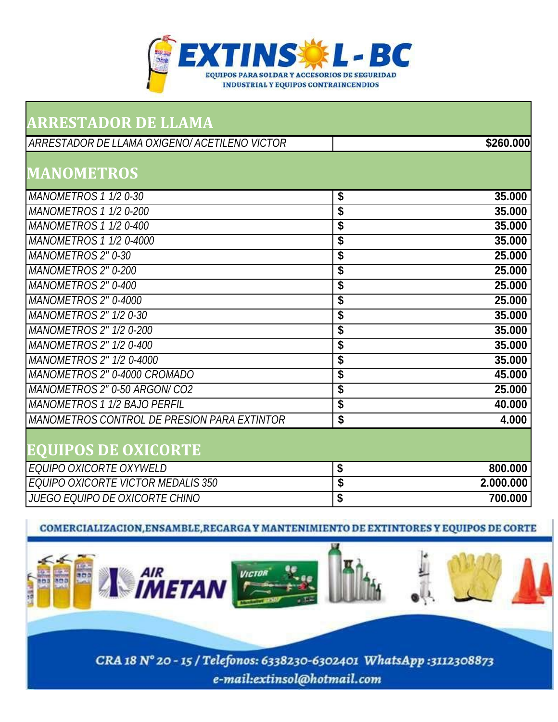

| <b>ARRESTADOR DE LLAMA</b>                    |                 |
|-----------------------------------------------|-----------------|
| ARRESTADOR DE LLAMA OXIGENO/ ACETILENO VICTOR | \$260.000       |
| <b>MANOMETROS</b>                             |                 |
| MANOMETROS 1 1/2 0-30                         | \$<br>35.000    |
| <b>MANOMETROS 1 1/2 0-200</b>                 | \$<br>35.000    |
| MANOMETROS 1 1/2 0-400                        | \$<br>35.000    |
| MANOMETROS 1 1/2 0-4000                       | \$<br>35.000    |
| MANOMETROS 2" 0-30                            | \$<br>25.000    |
| <b>MANOMETROS 2" 0-200</b>                    | \$<br>25.000    |
| MANOMETROS 2" 0-400                           | \$<br>25.000    |
| MANOMETROS 2" 0-4000                          | \$<br>25.000    |
| MANOMETROS 2" 1/2 0-30                        | \$<br>35.000    |
| <b>MANOMETROS 2" 1/2 0-200</b>                | \$<br>35.000    |
| MANOMETROS 2" 1/2 0-400                       | \$<br>35.000    |
| MANOMETROS 2" 1/2 0-4000                      | \$<br>35.000    |
| MANOMETROS 2" 0-4000 CROMADO                  | \$<br>45.000    |
| MANOMETROS 2" 0-50 ARGON/ CO2                 | \$<br>25.000    |
| <b>MANOMETROS 1 1/2 BAJO PERFIL</b>           | \$<br>40.000    |
| MANOMETROS CONTROL DE PRESION PARA EXTINTOR   | \$<br>4.000     |
| <b>EQUIPOS DE OXICORTE</b>                    |                 |
| EQUIPO OXICORTE OXYWELD                       | \$<br>800.000   |
| EQUIPO OXICORTE VICTOR MEDALIS 350            | \$<br>2.000.000 |
| <b>JUEGO EQUIPO DE OXICORTE CHINO</b>         | \$<br>700.000   |

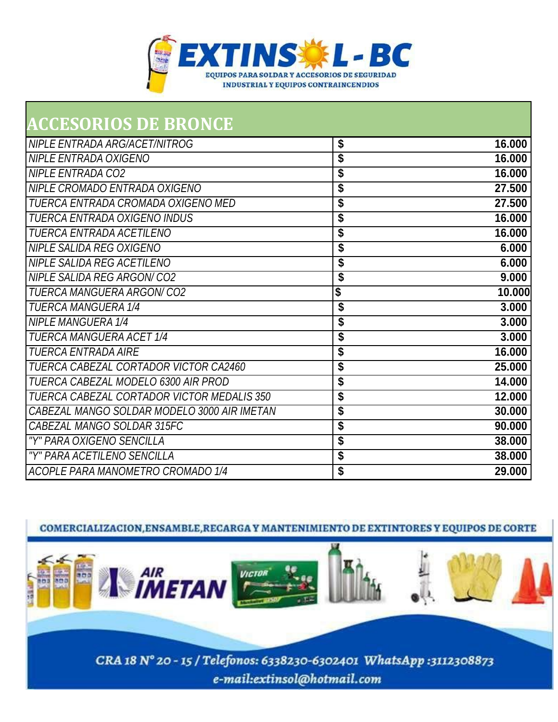

| <b>ACCESORIOS DE BRONCE</b>                 |              |
|---------------------------------------------|--------------|
| NIPLE ENTRADA ARG/ACET/NITROG               | \$<br>16.000 |
| NIPLE ENTRADA OXIGENO                       | \$<br>16.000 |
| <b>NIPLE ENTRADA CO2</b>                    | \$<br>16.000 |
| NIPLE CROMADO ENTRADA OXIGENO               | \$<br>27.500 |
| TUERCA ENTRADA CROMADA OXIGENO MED          | \$<br>27.500 |
| <b>TUERCA ENTRADA OXIGENO INDUS</b>         | \$<br>16.000 |
| <b>TUERCA ENTRADA ACETILENO</b>             | \$<br>16.000 |
| <b>NIPLE SALIDA REG OXIGENO</b>             | \$<br>6.000  |
| NIPLE SALIDA REG ACETILENO                  | \$<br>6.000  |
| <b>NIPLE SALIDA REG ARGON/CO2</b>           | \$<br>9.000  |
| <b>TUERCA MANGUERA ARGON/CO2</b>            | \$<br>10.000 |
| <b>TUERCA MANGUERA 1/4</b>                  | \$<br>3.000  |
| <b>NIPLE MANGUERA 1/4</b>                   | \$<br>3.000  |
| <b>TUERCA MANGUERA ACET 1/4</b>             | \$<br>3.000  |
| <b>TUERCA ENTRADA AIRE</b>                  | \$<br>16.000 |
| TUERCA CABEZAL CORTADOR VICTOR CA2460       | \$<br>25.000 |
| TUERCA CABEZAL MODELO 6300 AIR PROD         | \$<br>14.000 |
| TUERCA CABEZAL CORTADOR VICTOR MEDALIS 350  | \$<br>12.000 |
| CABEZAL MANGO SOLDAR MODELO 3000 AIR IMETAN | \$<br>30.000 |
| CABEZAL MANGO SOLDAR 315FC                  | \$<br>90.000 |
| "Y" PARA OXIGENO SENCILLA                   | \$<br>38.000 |
| "Y" PARA ACETILENO SENCILLA                 | \$<br>38.000 |
| ACOPLE PARA MANOMETRO CROMADO 1/4           | \$<br>29.000 |

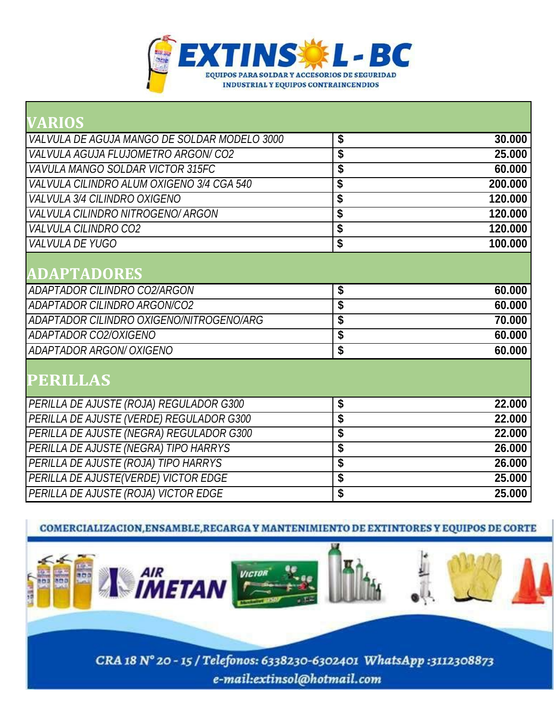

| \$                                   | 30.000                           |
|--------------------------------------|----------------------------------|
| \$                                   | 25.000                           |
| \$                                   | 60.000                           |
| \$                                   | 200.000                          |
| \$                                   | 120.000                          |
| \$                                   | 120.000                          |
| $\overline{\boldsymbol{\mathsf{s}}}$ | 120.000                          |
| $\overline{\boldsymbol{\mathsf{s}}}$ | 100.000                          |
|                                      |                                  |
|                                      |                                  |
| \$                                   | 60.000                           |
| \$                                   | 60.000                           |
| \$                                   | 70.000                           |
| \$                                   | 60.000                           |
| \$                                   | 60.000                           |
|                                      |                                  |
|                                      |                                  |
|                                      | 22.000                           |
|                                      | 22.000                           |
|                                      | 22.000                           |
|                                      | 26.000                           |
|                                      | 26.000                           |
|                                      | 25.000                           |
| \$                                   | 25.000                           |
|                                      | \$<br>\$<br>\$<br>\$<br>\$<br>\$ |